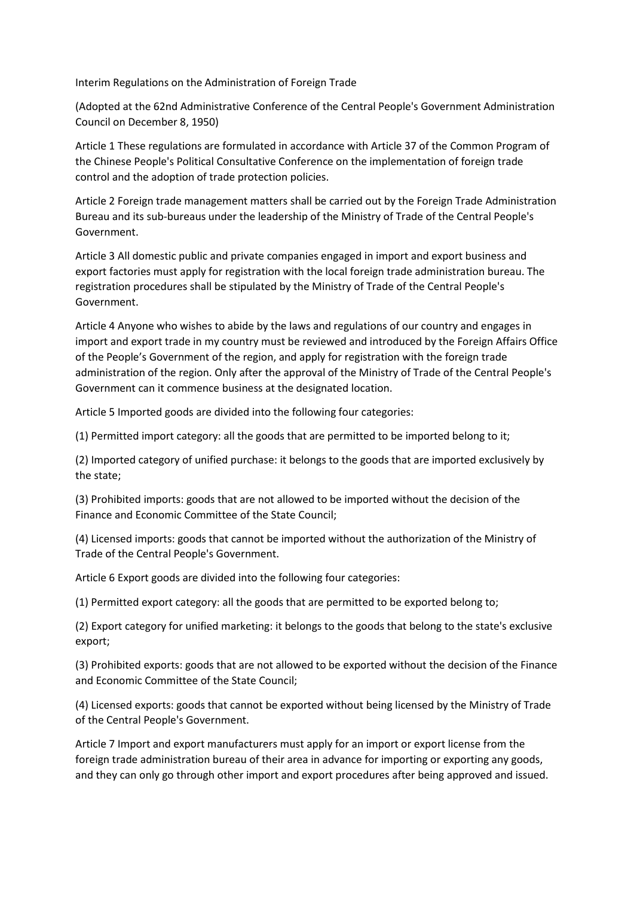Interim Regulations on the Administration of Foreign Trade

(Adopted at the 62nd Administrative Conference of the Central People's Government Administration Council on December 8, 1950)

Article 1 These regulations are formulated in accordance with Article 37 of the Common Program of the Chinese People's Political Consultative Conference on the implementation of foreign trade control and the adoption of trade protection policies.

Article 2 Foreign trade management matters shall be carried out by the Foreign Trade Administration Bureau and its sub-bureaus under the leadership of the Ministry of Trade of the Central People's Government.

Article 3 All domestic public and private companies engaged in import and export business and export factories must apply for registration with the local foreign trade administration bureau. The registration procedures shall be stipulated by the Ministry of Trade of the Central People's Government.

Article 4 Anyone who wishes to abide by the laws and regulations of our country and engages in import and export trade in my country must be reviewed and introduced by the Foreign Affairs Office of the People's Government of the region, and apply for registration with the foreign trade administration of the region. Only after the approval of the Ministry of Trade of the Central People's Government can it commence business at the designated location.

Article 5 Imported goods are divided into the following four categories:

(1) Permitted import category: all the goods that are permitted to be imported belong to it;

(2) Imported category of unified purchase: it belongs to the goods that are imported exclusively by the state;

(3) Prohibited imports: goods that are not allowed to be imported without the decision of the Finance and Economic Committee of the State Council;

(4) Licensed imports: goods that cannot be imported without the authorization of the Ministry of Trade of the Central People's Government.

Article 6 Export goods are divided into the following four categories:

(1) Permitted export category: all the goods that are permitted to be exported belong to;

(2) Export category for unified marketing: it belongs to the goods that belong to the state's exclusive export;

(3) Prohibited exports: goods that are not allowed to be exported without the decision of the Finance and Economic Committee of the State Council;

(4) Licensed exports: goods that cannot be exported without being licensed by the Ministry of Trade of the Central People's Government.

Article 7 Import and export manufacturers must apply for an import or export license from the foreign trade administration bureau of their area in advance for importing or exporting any goods, and they can only go through other import and export procedures after being approved and issued.